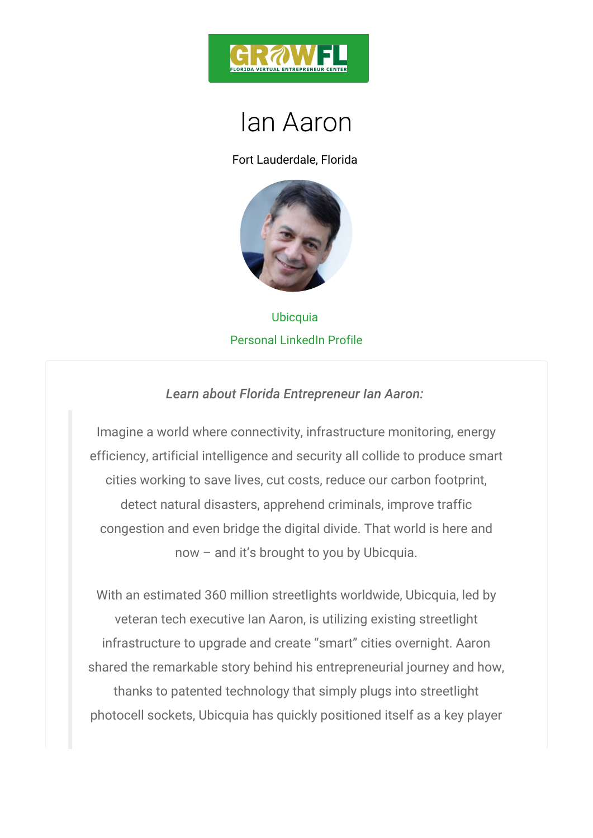

## Ian Aaron

Fort Lauderdale, Florida

## Ubicquia Personal LinkedIn Profile

Learn about Florida Entrepreneur Ian Aaron:

Imagine a world where connectivity, infrastructure mo efficiency, artificial intelligence and security all colli cities working to save lives, cut costs, reduce our c detect natural disasters, apprehend criminals, imp congestion and even bridge the digital divide. That **v** now and it s brought to you by Ubicquia.

With an estimated 360 million streetlights worldwide, veteran tech executive Ian Aaron, is utilizing exist infrastructure to upgrade and create smart cities o shared the remarkable story behind his entrepreneuria thanks to patented technology that simply plugs int photocell sockets, Ubicquia has quickly positioned its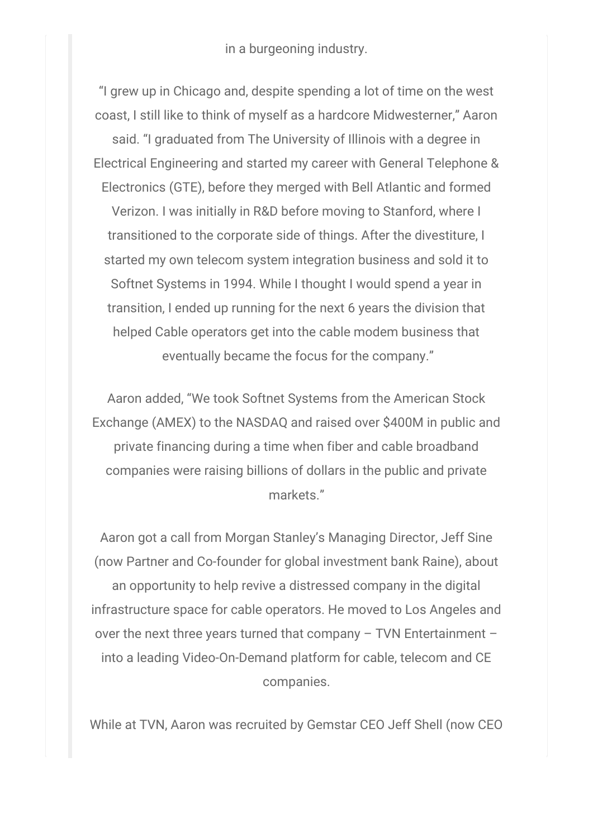in a burgeoning industry.

"I grew up in Chicago and, despite spending a lot of time on the west coast, I still like to think of myself as a hardcore Midwesterner," Aaron said. "I graduated from The University of Illinois with a degree in Electrical Engineering and started my career with General Telephone & Electronics (GTE), before they merged with Bell Atlantic and formed Verizon. I was initially in R&D before moving to Stanford, where I transitioned to the corporate side of things. After the divestiture, I started my own telecom system integration business and sold it to Softnet Systems in 1994. While I thought I would spend a year in transition, I ended up running for the next 6 years the division that helped Cable operators get into the cable modem business that eventually became the focus for the company."

Aaron added, "We took Softnet Systems from the American Stock Exchange (AMEX) to the NASDAQ and raised over \$400M in public and private financing during a time when fiber and cable broadband companies were raising billions of dollars in the public and private markets."

Aaron got a call from Morgan Stanley's Managing Director, Jeff Sine (now Partner and Co-founder for global investment bank Raine), about an opportunity to help revive a distressed company in the digital infrastructure space for cable operators. He moved to Los Angeles and over the next three years turned that company – TVN Entertainment – into a leading Video-On-Demand platform for cable, telecom and CE companies.

While at TVN, Aaron was recruited by Gemstar CEO Jeff Shell (now CEO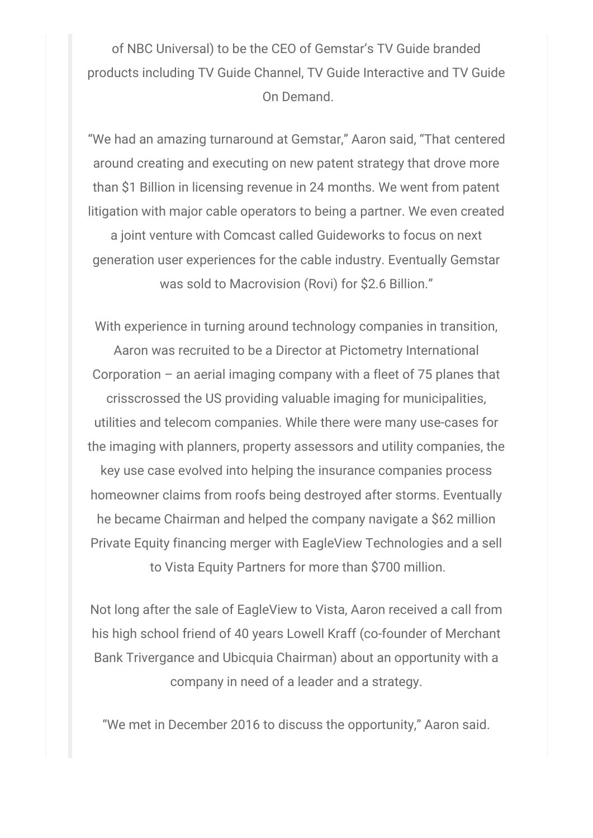of NBC Universal) to be the CEO of Gemstar's TV Guide branded products including TV Guide Channel, TV Guide Interactive and TV Guide On Demand.

"We had an amazing turnaround at Gemstar," Aaron said, "That centered around creating and executing on new patent strategy that drove more than \$1 Billion in licensing revenue in 24 months. We went from patent litigation with major cable operators to being a partner. We even created

a joint venture with Comcast called Guideworks to focus on next generation user experiences for the cable industry. Eventually Gemstar was sold to Macrovision (Rovi) for \$2.6 Billion."

With experience in turning around technology companies in transition, Aaron was recruited to be a Director at Pictometry International Corporation – an aerial imaging company with a fleet of  $75$  planes that crisscrossed the US providing valuable imaging for municipalities, utilities and telecom companies. While there were many use-cases for the imaging with planners, property assessors and utility companies, the key use case evolved into helping the insurance companies process homeowner claims from roofs being destroyed after storms. Eventually he became Chairman and helped the company navigate a \$62 million Private Equity financing merger with EagleView Technologies and a sell to Vista Equity Partners for more than \$700 million.

Not long after the sale of EagleView to Vista, Aaron received a call from his high school friend of 40 years Lowell Kraff (co-founder of Merchant Bank Trivergance and Ubicquia Chairman) about an opportunity with a company in need of a leader and a strategy.

"We met in December 2016 to discuss the opportunity," Aaron said.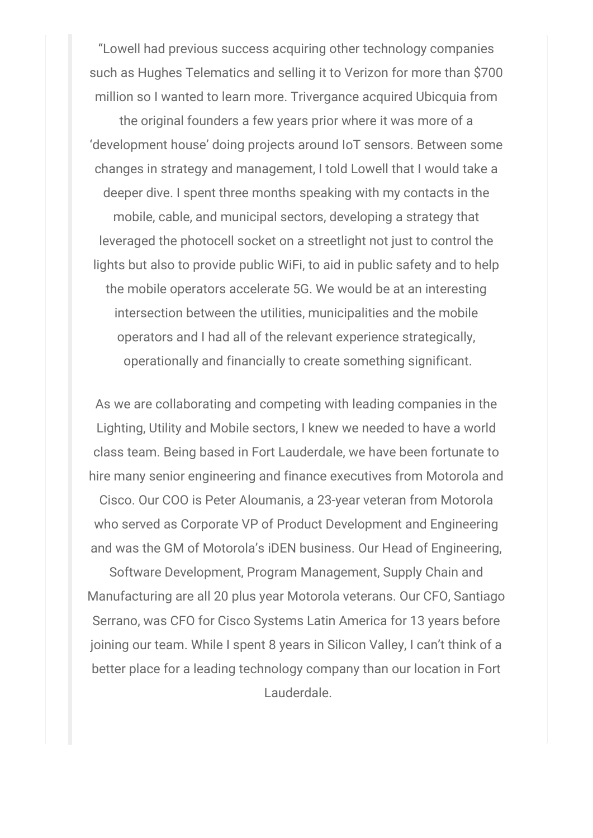"Lowell had previous success acquiring other technology companies such as Hughes Telematics and selling it to Verizon for more than \$700 million so I wanted to learn more. Trivergance acquired Ubicquia from

the original founders a few years prior where it was more of a 'development house' doing projects around IoT sensors. Between some changes in strategy and management, I told Lowell that I would take a deeper dive. I spent three months speaking with my contacts in the mobile, cable, and municipal sectors, developing a strategy that leveraged the photocell socket on a streetlight not just to control the lights but also to provide public WiFi, to aid in public safety and to help the mobile operators accelerate 5G. We would be at an interesting intersection between the utilities, municipalities and the mobile operators and I had all of the relevant experience strategically, operationally and financially to create something significant.

As we are collaborating and competing with leading companies in the Lighting, Utility and Mobile sectors, I knew we needed to have a world class team. Being based in Fort Lauderdale, we have been fortunate to hire many senior engineering and finance executives from Motorola and

Cisco. Our COO is Peter Aloumanis, a 23-year veteran from Motorola who served as Corporate VP of Product Development and Engineering and was the GM of Motorola's iDEN business. Our Head of Engineering,

Software Development, Program Management, Supply Chain and Manufacturing are all 20 plus year Motorola veterans. Our CFO, Santiago Serrano, was CFO for Cisco Systems Latin America for 13 years before joining our team. While I spent 8 years in Silicon Valley, I can't think of a better place for a leading technology company than our location in Fort Lauderdale.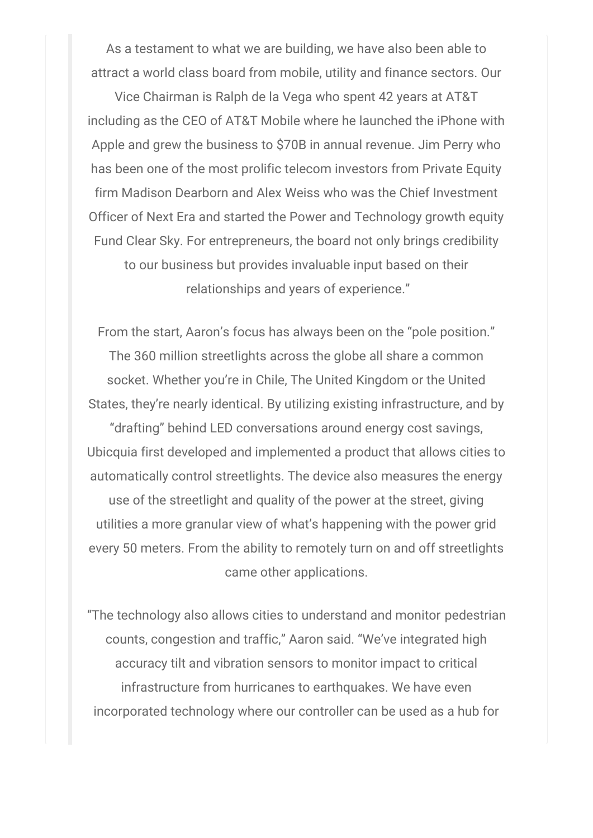As a testament to what we are building, we have also been able to attract a world class board from mobile, utility and finance sectors. Our

Vice Chairman is Ralph de la Vega who spent 42 years at AT&T including as the CEO of AT&T Mobile where he launched the iPhone with Apple and grew the business to \$70B in annual revenue. Jim Perry who has been one of the most prolific telecom investors from Private Equity firm Madison Dearborn and Alex Weiss who was the Chief Investment Officer of Next Era and started the Power and Technology growth equity Fund Clear Sky. For entrepreneurs, the board not only brings credibility to our business but provides invaluable input based on their relationships and years of experience."

From the start, Aaron's focus has always been on the "pole position." The 360 million streetlights across the globe all share a common socket. Whether you're in Chile, The United Kingdom or the United States, they're nearly identical. By utilizing existing infrastructure, and by "drafting" behind LED conversations around energy cost savings, Ubicquia first developed and implemented a product that allows cities to automatically control streetlights. The device also measures the energy use of the streetlight and quality of the power at the street, giving utilities a more granular view of what's happening with the power grid every 50 meters. From the ability to remotely turn on and off streetlights came other applications.

"The technology also allows cities to understand and monitor pedestrian counts, congestion and traffic," Aaron said. "We've integrated high accuracy tilt and vibration sensors to monitor impact to critical infrastructure from hurricanes to earthquakes. We have even incorporated technology where our controller can be used as a hub for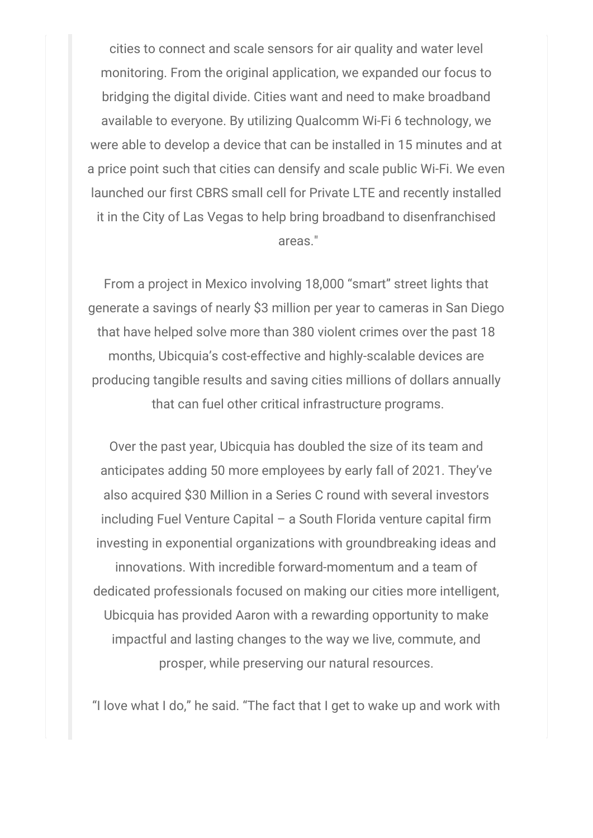cities to connect and scale sensors for air quality and water level monitoring. From the original application, we expanded our focus to bridging the digital divide. Cities want and need to make broadband available to everyone. By utilizing Qualcomm Wi-Fi 6 technology, we were able to develop a device that can be installed in 15 minutes and at a price point such that cities can densify and scale public Wi-Fi. We even launched our first CBRS small cell for Private LTE and recently installed it in the City of Las Vegas to help bring broadband to disenfranchised areas."

From a project in Mexico involving 18,000 "smart" street lights that generate a savings of nearly \$3 million per year to cameras in San Diego that have helped solve more than 380 violent crimes over the past 18 months, Ubicquia's cost-effective and highly-scalable devices are producing tangible results and saving cities millions of dollars annually that can fuel other critical infrastructure programs.

Over the past year, Ubicquia has doubled the size of its team and anticipates adding 50 more employees by early fall of 2021. They've also acquired \$30 Million in a Series C round with several investors including Fuel Venture Capital – a South Florida venture capital firm investing in exponential organizations with groundbreaking ideas and innovations. With incredible forward-momentum and a team of dedicated professionals focused on making our cities more intelligent, Ubicquia has provided Aaron with a rewarding opportunity to make impactful and lasting changes to the way we live, commute, and prosper, while preserving our natural resources.

"I love what I do," he said. "The fact that I get to wake up and work with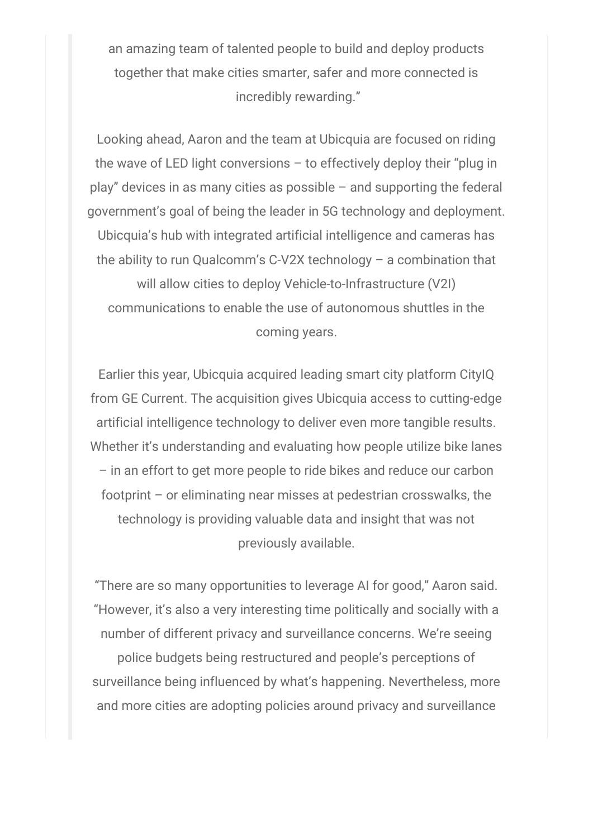an amazing team of talented people to build and deploy products together that make cities smarter, safer and more connected is incredibly rewarding."

Looking ahead, Aaron and the team at Ubicquia are focused on riding the wave of LED light conversions – to effectively deploy their "plug in play" devices in as many cities as possible – and supporting the federal government's goal of being the leader in 5G technology and deployment. Ubicquia's hub with integrated artificial intelligence and cameras has the ability to run Qualcomm's C-V2X technology – a combination that will allow cities to deploy Vehicle-to-Infrastructure (V2I) communications to enable the use of autonomous shuttles in the coming years.

Earlier this year, Ubicquia acquired leading smart city platform CityIQ from GE Current. The acquisition gives Ubicquia access to cutting-edge artificial intelligence technology to deliver even more tangible results. Whether it's understanding and evaluating how people utilize bike lanes – in an effort to get more people to ride bikes and reduce our carbon footprint – or eliminating near misses at pedestrian crosswalks, the technology is providing valuable data and insight that was not previously available.

"There are so many opportunities to leverage AI for good," Aaron said. "However, it's also a very interesting time politically and socially with a number of different privacy and surveillance concerns. We're seeing police budgets being restructured and people's perceptions of surveillance being influenced by what's happening. Nevertheless, more and more cities are adopting policies around privacy and surveillance